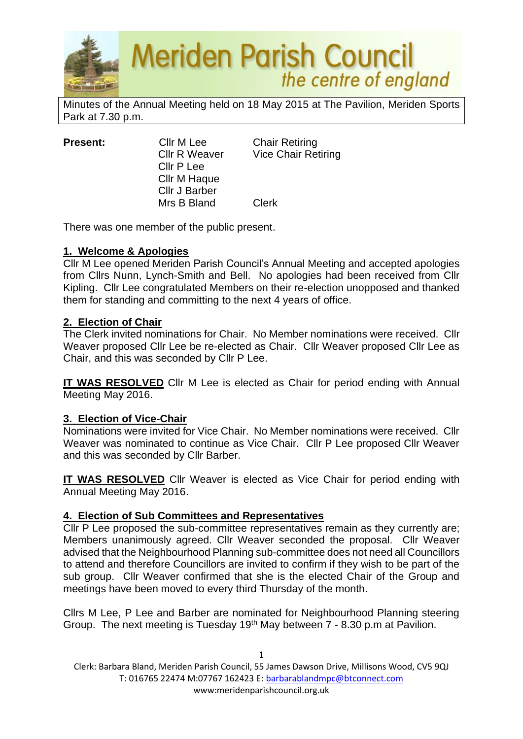

Minutes of the Annual Meeting held on 18 May 2015 at The Pavilion, Meriden Sports Park at 7.30 p.m.

| <b>Present:</b> | Cllr M Lee           | <b>Chair Retiring</b>      |
|-----------------|----------------------|----------------------------|
|                 | <b>Cllr R Weaver</b> | <b>Vice Chair Retiring</b> |
|                 | Cllr P Lee           |                            |
|                 | Cllr M Haque         |                            |
|                 | <b>Cllr J Barber</b> |                            |
|                 | Mrs B Bland          | <b>Clerk</b>               |

There was one member of the public present.

#### **1. Welcome & Apologies**

Cllr M Lee opened Meriden Parish Council's Annual Meeting and accepted apologies from Cllrs Nunn, Lynch-Smith and Bell. No apologies had been received from Cllr Kipling. Cllr Lee congratulated Members on their re-election unopposed and thanked them for standing and committing to the next 4 years of office.

#### **2. Election of Chair**

The Clerk invited nominations for Chair. No Member nominations were received. Cllr Weaver proposed Cllr Lee be re-elected as Chair. Cllr Weaver proposed Cllr Lee as Chair, and this was seconded by Cllr P Lee.

**IT WAS RESOLVED** Cllr M Lee is elected as Chair for period ending with Annual Meeting May 2016.

#### **3. Election of Vice-Chair**

Nominations were invited for Vice Chair. No Member nominations were received. Cllr Weaver was nominated to continue as Vice Chair. Cllr P Lee proposed Cllr Weaver and this was seconded by Cllr Barber.

**IT WAS RESOLVED** Cllr Weaver is elected as Vice Chair for period ending with Annual Meeting May 2016.

## **4. Election of Sub Committees and Representatives**

Cllr P Lee proposed the sub-committee representatives remain as they currently are; Members unanimously agreed. Cllr Weaver seconded the proposal. Cllr Weaver advised that the Neighbourhood Planning sub-committee does not need all Councillors to attend and therefore Councillors are invited to confirm if they wish to be part of the sub group. Cllr Weaver confirmed that she is the elected Chair of the Group and meetings have been moved to every third Thursday of the month.

Cllrs M Lee, P Lee and Barber are nominated for Neighbourhood Planning steering Group. The next meeting is Tuesday  $19<sup>th</sup>$  May between  $7 - 8.30$  p.m at Pavilion.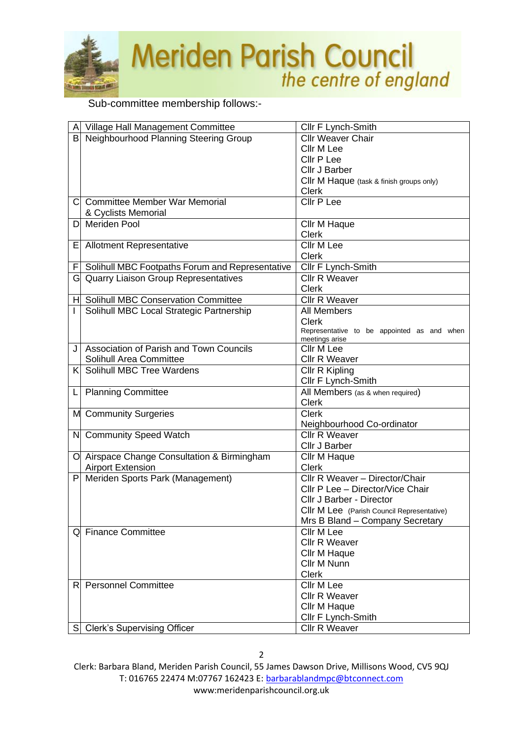

Sub-committee membership follows:-

| Α            | Village Hall Management Committee               | Cllr F Lynch-Smith                         |
|--------------|-------------------------------------------------|--------------------------------------------|
| B            | Neighbourhood Planning Steering Group           | <b>Cllr Weaver Chair</b>                   |
|              |                                                 | Cllr M Lee                                 |
|              |                                                 | Cllr P Lee                                 |
|              |                                                 | Cllr J Barber                              |
|              |                                                 | Cllr M Haque (task & finish groups only)   |
|              |                                                 | <b>Clerk</b>                               |
| $\mathsf{C}$ | <b>Committee Member War Memorial</b>            | <b>Cllr P Lee</b>                          |
|              | & Cyclists Memorial                             |                                            |
| D            | <b>Meriden Pool</b>                             | Cllr M Haque                               |
|              |                                                 | <b>Clerk</b>                               |
| Е            | <b>Allotment Representative</b>                 | <b>Cllr M Lee</b>                          |
|              |                                                 | <b>Clerk</b>                               |
| F            | Solihull MBC Footpaths Forum and Representative | Cllr F Lynch-Smith                         |
|              | G Quarry Liaison Group Representatives          | <b>Cllr R Weaver</b>                       |
|              |                                                 | <b>Clerk</b>                               |
| H            | <b>Solihull MBC Conservation Committee</b>      | Cllr R Weaver                              |
|              | Solihull MBC Local Strategic Partnership        | <b>All Members</b>                         |
|              |                                                 | <b>Clerk</b>                               |
|              |                                                 | Representative to be appointed as and when |
|              | Association of Parish and Town Councils         | meetings arise<br>Cllr M Lee               |
|              | Solihull Area Committee                         | <b>Cllr R Weaver</b>                       |
| K            | Solihull MBC Tree Wardens                       | Cllr R Kipling                             |
|              |                                                 | Cllr F Lynch-Smith                         |
| L            | <b>Planning Committee</b>                       | All Members (as & when required)           |
|              |                                                 | <b>Clerk</b>                               |
|              | M Community Surgeries                           | <b>Clerk</b>                               |
|              |                                                 | Neighbourhood Co-ordinator                 |
|              | N Community Speed Watch                         | <b>Cllr R Weaver</b>                       |
|              |                                                 | Cllr J Barber                              |
|              | O Airspace Change Consultation & Birmingham     | Cllr M Haque                               |
|              | <b>Airport Extension</b>                        | <b>Clerk</b>                               |
| P            | Meriden Sports Park (Management)                | Cllr R Weaver - Director/Chair             |
|              |                                                 | Cllr P Lee - Director/Vice Chair           |
|              |                                                 | Cllr J Barber - Director                   |
|              |                                                 | Cllr M Lee (Parish Council Representative) |
|              |                                                 | Mrs B Bland - Company Secretary            |
|              | <b>Finance Committee</b>                        | Cllr M Lee                                 |
|              |                                                 | <b>Cllr R Weaver</b>                       |
|              |                                                 | Cllr M Haque                               |
|              |                                                 | Cllr M Nunn                                |
|              |                                                 | <b>Clerk</b>                               |
| R            | <b>Personnel Committee</b>                      | Cllr M Lee                                 |
|              |                                                 | <b>Cllr R Weaver</b>                       |
|              |                                                 | Cllr M Haque                               |
|              |                                                 | Cllr F Lynch-Smith                         |
|              | S Clerk's Supervising Officer                   | Cllr R Weaver                              |
|              |                                                 |                                            |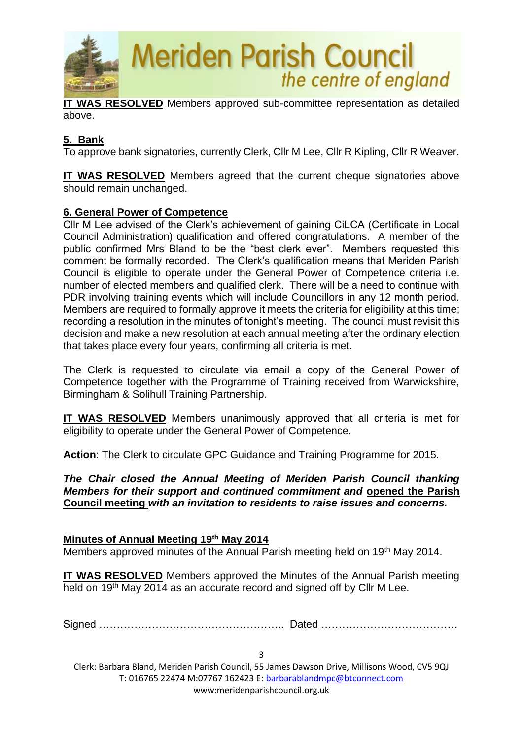

**IT WAS RESOLVED** Members approved sub-committee representation as detailed above.

# **5. Bank**

To approve bank signatories, currently Clerk, Cllr M Lee, Cllr R Kipling, Cllr R Weaver.

**IT WAS RESOLVED** Members agreed that the current cheque signatories above should remain unchanged.

#### **6. General Power of Competence**

Cllr M Lee advised of the Clerk's achievement of gaining CiLCA (Certificate in Local Council Administration) qualification and offered congratulations. A member of the public confirmed Mrs Bland to be the "best clerk ever". Members requested this comment be formally recorded. The Clerk's qualification means that Meriden Parish Council is eligible to operate under the General Power of Competence criteria i.e. number of elected members and qualified clerk. There will be a need to continue with PDR involving training events which will include Councillors in any 12 month period. Members are required to formally approve it meets the criteria for eligibility at this time; recording a resolution in the minutes of tonight's meeting. The council must revisit this decision and make a new resolution at each annual meeting after the ordinary election that takes place every four years, confirming all criteria is met.

The Clerk is requested to circulate via email a copy of the General Power of Competence together with the Programme of Training received from Warwickshire, Birmingham & Solihull Training Partnership.

**IT WAS RESOLVED** Members unanimously approved that all criteria is met for eligibility to operate under the General Power of Competence.

**Action**: The Clerk to circulate GPC Guidance and Training Programme for 2015.

*The Chair closed the Annual Meeting of Meriden Parish Council thanking Members for their support and continued commitment and* **opened the Parish Council meeting** *with an invitation to residents to raise issues and concerns.*

#### **Minutes of Annual Meeting 19th May 2014**

Members approved minutes of the Annual Parish meeting held on 19<sup>th</sup> May 2014.

**IT WAS RESOLVED** Members approved the Minutes of the Annual Parish meeting held on 19<sup>th</sup> May 2014 as an accurate record and signed off by Cllr M Lee.

Signed …………………………………………….. Dated …………………………………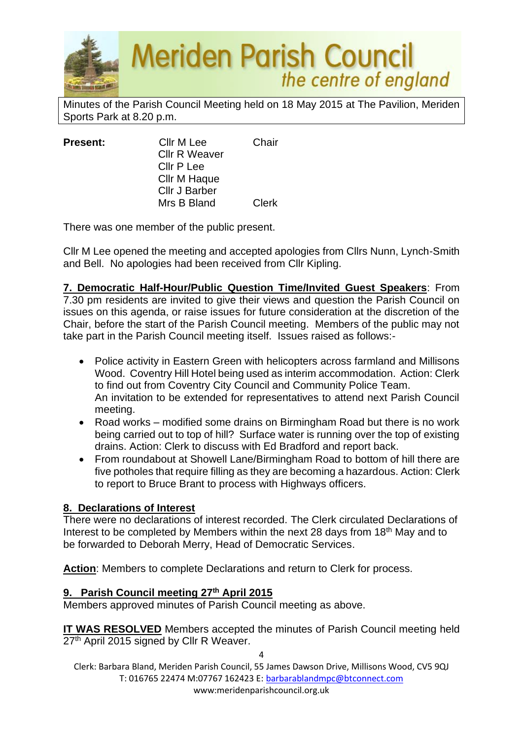

Minutes of the Parish Council Meeting held on 18 May 2015 at The Pavilion, Meriden Sports Park at 8.20 p.m.

| <b>Present:</b> | Cllr M Lee           | Chair        |
|-----------------|----------------------|--------------|
|                 | <b>Cllr R Weaver</b> |              |
|                 | Cllr P Lee           |              |
|                 | Cllr M Haque         |              |
|                 | <b>Cllr J Barber</b> |              |
|                 | Mrs B Bland          | <b>Clerk</b> |

There was one member of the public present.

Cllr M Lee opened the meeting and accepted apologies from Cllrs Nunn, Lynch-Smith and Bell. No apologies had been received from Cllr Kipling.

**7. Democratic Half-Hour/Public Question Time/Invited Guest Speakers**: From 7.30 pm residents are invited to give their views and question the Parish Council on issues on this agenda, or raise issues for future consideration at the discretion of the Chair, before the start of the Parish Council meeting. Members of the public may not take part in the Parish Council meeting itself. Issues raised as follows:-

- Police activity in Eastern Green with helicopters across farmland and Millisons Wood. Coventry Hill Hotel being used as interim accommodation. Action: Clerk to find out from Coventry City Council and Community Police Team. An invitation to be extended for representatives to attend next Parish Council meeting.
- Road works modified some drains on Birmingham Road but there is no work being carried out to top of hill? Surface water is running over the top of existing drains. Action: Clerk to discuss with Ed Bradford and report back.
- From roundabout at Showell Lane/Birmingham Road to bottom of hill there are five potholes that require filling as they are becoming a hazardous. Action: Clerk to report to Bruce Brant to process with Highways officers.

# **8. Declarations of Interest**

There were no declarations of interest recorded. The Clerk circulated Declarations of Interest to be completed by Members within the next 28 days from 18th May and to be forwarded to Deborah Merry, Head of Democratic Services.

**Action**: Members to complete Declarations and return to Clerk for process.

## **9. Parish Council meeting 27th April 2015**

Members approved minutes of Parish Council meeting as above.

**IT WAS RESOLVED** Members accepted the minutes of Parish Council meeting held 27<sup>th</sup> April 2015 signed by Cllr R Weaver.

Clerk: Barbara Bland, Meriden Parish Council, 55 James Dawson Drive, Millisons Wood, CV5 9QJ T: 016765 22474 M:07767 162423 E[: barbarablandmpc@btconnect.com](mailto:barbarablandmpc@btconnect.com) www:meridenparishcouncil.org.uk

 $\Lambda$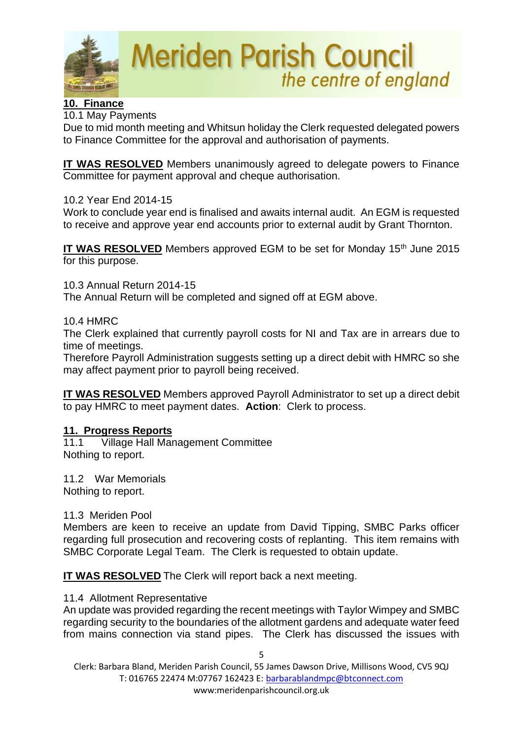

# **10. Finance**

10.1 May Payments

Due to mid month meeting and Whitsun holiday the Clerk requested delegated powers to Finance Committee for the approval and authorisation of payments.

**IT WAS RESOLVED** Members unanimously agreed to delegate powers to Finance Committee for payment approval and cheque authorisation.

#### 10.2 Year End 2014-15

Work to conclude year end is finalised and awaits internal audit. An EGM is requested to receive and approve year end accounts prior to external audit by Grant Thornton.

**IT WAS RESOLVED** Members approved EGM to be set for Monday 15<sup>th</sup> June 2015 for this purpose.

10.3 Annual Return 2014-15 The Annual Return will be completed and signed off at EGM above.

#### 10.4 HMRC

The Clerk explained that currently payroll costs for NI and Tax are in arrears due to time of meetings.

Therefore Payroll Administration suggests setting up a direct debit with HMRC so she may affect payment prior to payroll being received.

**IT WAS RESOLVED** Members approved Payroll Administrator to set up a direct debit to pay HMRC to meet payment dates. **Action**: Clerk to process.

#### **11. Progress Reports**

11.1 Village Hall Management Committee Nothing to report.

11.2 War Memorials Nothing to report.

#### 11.3 Meriden Pool

Members are keen to receive an update from David Tipping, SMBC Parks officer regarding full prosecution and recovering costs of replanting. This item remains with SMBC Corporate Legal Team. The Clerk is requested to obtain update.

**IT WAS RESOLVED** The Clerk will report back a next meeting.

#### 11.4 Allotment Representative

An update was provided regarding the recent meetings with Taylor Wimpey and SMBC regarding security to the boundaries of the allotment gardens and adequate water feed from mains connection via stand pipes. The Clerk has discussed the issues with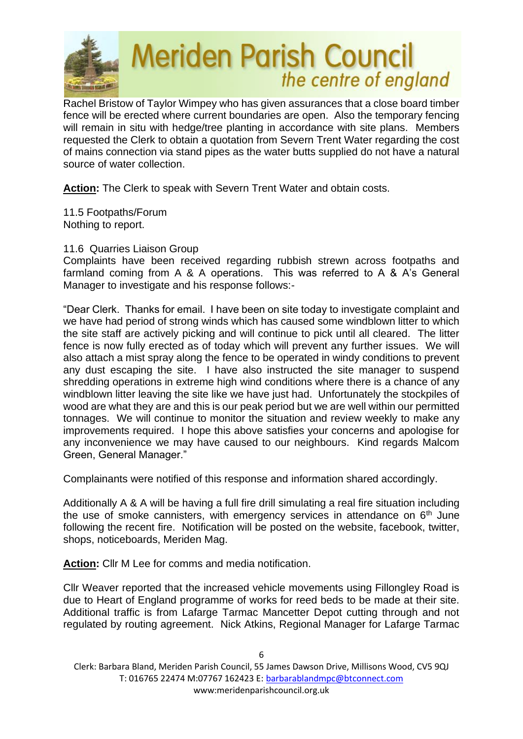

Rachel Bristow of Taylor Wimpey who has given assurances that a close board timber fence will be erected where current boundaries are open. Also the temporary fencing will remain in situ with hedge/tree planting in accordance with site plans. Members requested the Clerk to obtain a quotation from Severn Trent Water regarding the cost of mains connection via stand pipes as the water butts supplied do not have a natural source of water collection.

**Action:** The Clerk to speak with Severn Trent Water and obtain costs.

11.5 Footpaths/Forum Nothing to report.

## 11.6 Quarries Liaison Group

Complaints have been received regarding rubbish strewn across footpaths and farmland coming from A & A operations. This was referred to A & A's General Manager to investigate and his response follows:-

"Dear Clerk. Thanks for email. I have been on site today to investigate complaint and we have had period of strong winds which has caused some windblown litter to which the site staff are actively picking and will continue to pick until all cleared. The litter fence is now fully erected as of today which will prevent any further issues. We will also attach a mist spray along the fence to be operated in windy conditions to prevent any dust escaping the site. I have also instructed the site manager to suspend shredding operations in extreme high wind conditions where there is a chance of any windblown litter leaving the site like we have just had. Unfortunately the stockpiles of wood are what they are and this is our peak period but we are well within our permitted tonnages. We will continue to monitor the situation and review weekly to make any improvements required. I hope this above satisfies your concerns and apologise for any inconvenience we may have caused to our neighbours. Kind regards Malcom Green, General Manager."

Complainants were notified of this response and information shared accordingly.

Additionally A & A will be having a full fire drill simulating a real fire situation including the use of smoke cannisters, with emergency services in attendance on  $6<sup>th</sup>$  June following the recent fire. Notification will be posted on the website, facebook, twitter, shops, noticeboards, Meriden Mag.

**Action:** Cllr M Lee for comms and media notification.

Cllr Weaver reported that the increased vehicle movements using Fillongley Road is due to Heart of England programme of works for reed beds to be made at their site. Additional traffic is from Lafarge Tarmac Mancetter Depot cutting through and not regulated by routing agreement. Nick Atkins, Regional Manager for Lafarge Tarmac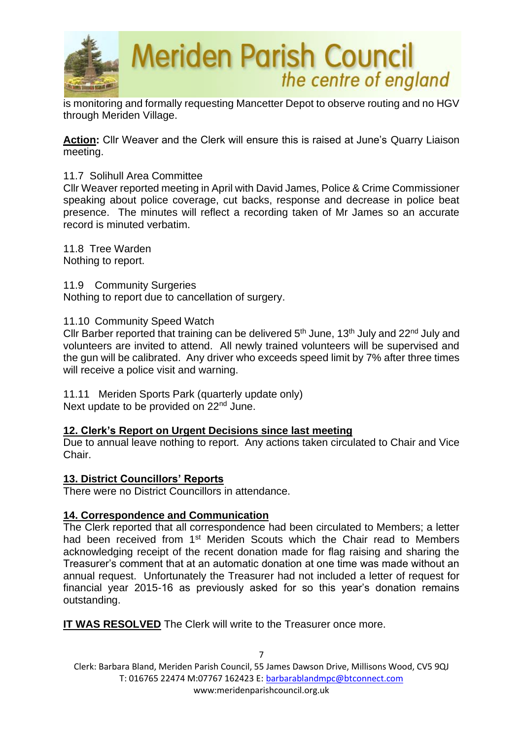

is monitoring and formally requesting Mancetter Depot to observe routing and no HGV through Meriden Village.

**Action:** Cllr Weaver and the Clerk will ensure this is raised at June's Quarry Liaison meeting.

#### 11.7 Solihull Area Committee

Cllr Weaver reported meeting in April with David James, Police & Crime Commissioner speaking about police coverage, cut backs, response and decrease in police beat presence. The minutes will reflect a recording taken of Mr James so an accurate record is minuted verbatim.

11.8 Tree Warden Nothing to report.

11.9 Community Surgeries Nothing to report due to cancellation of surgery.

#### 11.10 Community Speed Watch

Cllr Barber reported that training can be delivered  $5<sup>th</sup>$  June, 13<sup>th</sup> July and 22<sup>nd</sup> July and volunteers are invited to attend. All newly trained volunteers will be supervised and the gun will be calibrated. Any driver who exceeds speed limit by 7% after three times will receive a police visit and warning.

11.11 Meriden Sports Park (quarterly update only) Next update to be provided on 22<sup>nd</sup> June.

#### **12. Clerk's Report on Urgent Decisions since last meeting**

Due to annual leave nothing to report. Any actions taken circulated to Chair and Vice Chair.

#### **13. District Councillors' Reports**

There were no District Councillors in attendance.

#### **14. Correspondence and Communication**

The Clerk reported that all correspondence had been circulated to Members; a letter had been received from 1<sup>st</sup> Meriden Scouts which the Chair read to Members acknowledging receipt of the recent donation made for flag raising and sharing the Treasurer's comment that at an automatic donation at one time was made without an annual request. Unfortunately the Treasurer had not included a letter of request for financial year 2015-16 as previously asked for so this year's donation remains outstanding.

**IT WAS RESOLVED** The Clerk will write to the Treasurer once more.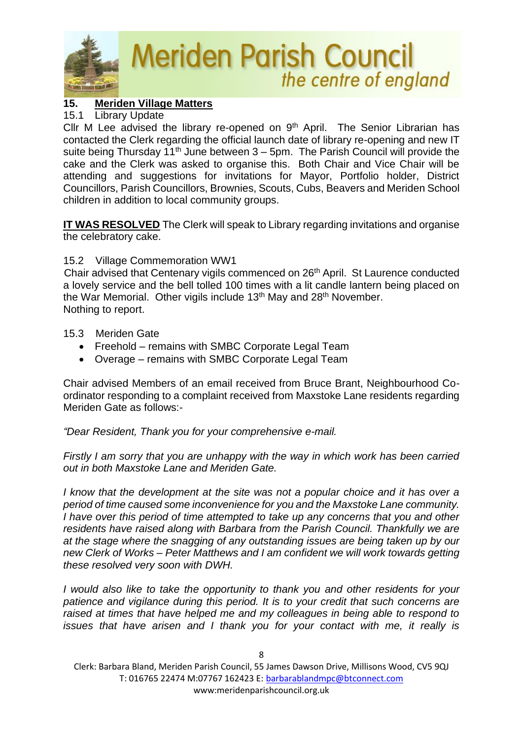

# **15. Meriden Village Matters**

#### 15.1 Library Update

Cllr M Lee advised the library re-opened on  $9<sup>th</sup>$  April. The Senior Librarian has contacted the Clerk regarding the official launch date of library re-opening and new IT suite being Thursday  $11<sup>th</sup>$  June between 3 – 5pm. The Parish Council will provide the cake and the Clerk was asked to organise this. Both Chair and Vice Chair will be attending and suggestions for invitations for Mayor, Portfolio holder, District Councillors, Parish Councillors, Brownies, Scouts, Cubs, Beavers and Meriden School children in addition to local community groups.

**IT WAS RESOLVED** The Clerk will speak to Library regarding invitations and organise the celebratory cake.

#### 15.2 Village Commemoration WW1

Chair advised that Centenary vigils commenced on 26<sup>th</sup> April. St Laurence conducted a lovely service and the bell tolled 100 times with a lit candle lantern being placed on the War Memorial. Other vigils include 13<sup>th</sup> May and 28<sup>th</sup> November. Nothing to report.

15.3 Meriden Gate

- Freehold remains with SMBC Corporate Legal Team
- Overage remains with SMBC Corporate Legal Team

Chair advised Members of an email received from Bruce Brant, Neighbourhood Coordinator responding to a complaint received from Maxstoke Lane residents regarding Meriden Gate as follows:-

*"Dear Resident, Thank you for your comprehensive e-mail.* 

*Firstly I am sorry that you are unhappy with the way in which work has been carried out in both Maxstoke Lane and Meriden Gate.*

*I know that the development at the site was not a popular choice and it has over a period of time caused some inconvenience for you and the Maxstoke Lane community. I have over this period of time attempted to take up any concerns that you and other residents have raised along with Barbara from the Parish Council. Thankfully we are at the stage where the snagging of any outstanding issues are being taken up by our new Clerk of Works – Peter Matthews and I am confident we will work towards getting these resolved very soon with DWH.* 

*I would also like to take the opportunity to thank you and other residents for your patience and vigilance during this period. It is to your credit that such concerns are*  raised at times that have helped me and my colleagues in being able to respond to *issues that have arisen and I thank you for your contact with me, it really is*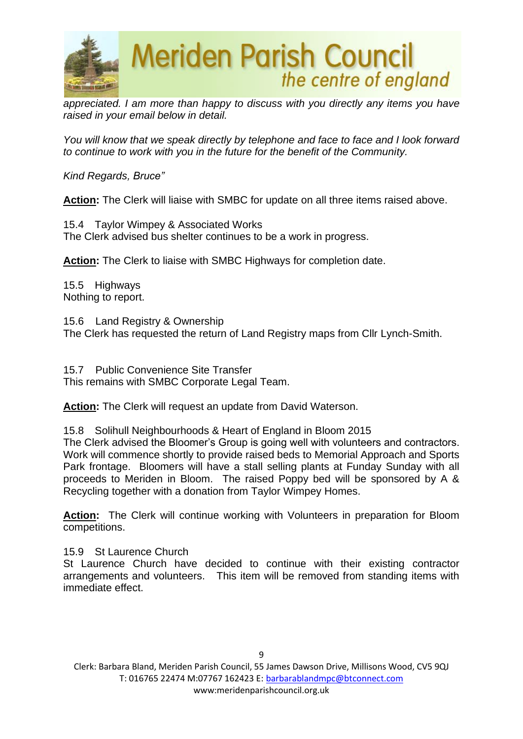

*appreciated. I am more than happy to discuss with you directly any items you have raised in your email below in detail.*

*You will know that we speak directly by telephone and face to face and I look forward to continue to work with you in the future for the benefit of the Community.*

*Kind Regards, Bruce"* 

Action: The Clerk will liaise with SMBC for update on all three items raised above.

15.4 Taylor Wimpey & Associated Works The Clerk advised bus shelter continues to be a work in progress.

**Action:** The Clerk to liaise with SMBC Highways for completion date.

15.5 Highways Nothing to report.

15.6 Land Registry & Ownership The Clerk has requested the return of Land Registry maps from Cllr Lynch-Smith.

15.7 Public Convenience Site Transfer This remains with SMBC Corporate Legal Team.

**Action:** The Clerk will request an update from David Waterson.

15.8 Solihull Neighbourhoods & Heart of England in Bloom 2015

The Clerk advised the Bloomer's Group is going well with volunteers and contractors. Work will commence shortly to provide raised beds to Memorial Approach and Sports Park frontage. Bloomers will have a stall selling plants at Funday Sunday with all proceeds to Meriden in Bloom. The raised Poppy bed will be sponsored by A & Recycling together with a donation from Taylor Wimpey Homes.

**Action:** The Clerk will continue working with Volunteers in preparation for Bloom competitions.

15.9 St Laurence Church

St Laurence Church have decided to continue with their existing contractor arrangements and volunteers. This item will be removed from standing items with immediate effect.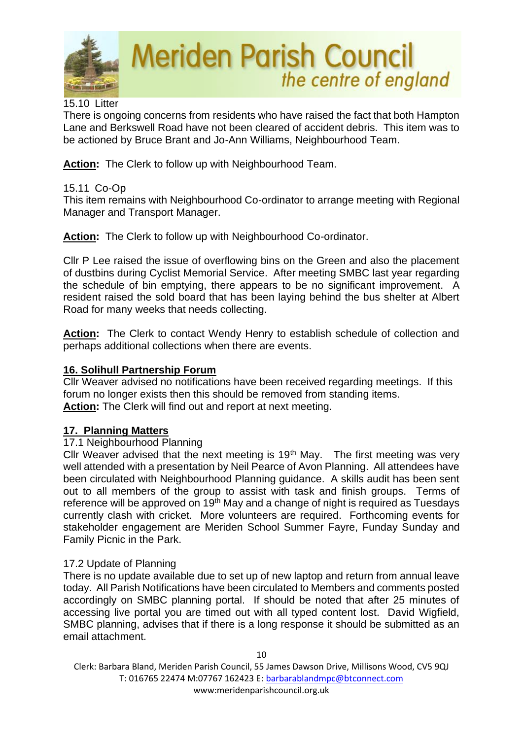

## 15.10 Litter

There is ongoing concerns from residents who have raised the fact that both Hampton Lane and Berkswell Road have not been cleared of accident debris. This item was to be actioned by Bruce Brant and Jo-Ann Williams, Neighbourhood Team.

**Action:** The Clerk to follow up with Neighbourhood Team.

#### 15.11 Co-Op

This item remains with Neighbourhood Co-ordinator to arrange meeting with Regional Manager and Transport Manager.

**Action:** The Clerk to follow up with Neighbourhood Co-ordinator.

Cllr P Lee raised the issue of overflowing bins on the Green and also the placement of dustbins during Cyclist Memorial Service. After meeting SMBC last year regarding the schedule of bin emptying, there appears to be no significant improvement. A resident raised the sold board that has been laying behind the bus shelter at Albert Road for many weeks that needs collecting.

**Action:** The Clerk to contact Wendy Henry to establish schedule of collection and perhaps additional collections when there are events.

#### **16. Solihull Partnership Forum**

Cllr Weaver advised no notifications have been received regarding meetings. If this forum no longer exists then this should be removed from standing items. **Action:** The Clerk will find out and report at next meeting.

## **17. Planning Matters**

#### 17.1 Neighbourhood Planning

Cllr Weaver advised that the next meeting is  $19<sup>th</sup>$  May. The first meeting was very well attended with a presentation by Neil Pearce of Avon Planning. All attendees have been circulated with Neighbourhood Planning guidance. A skills audit has been sent out to all members of the group to assist with task and finish groups. Terms of reference will be approved on 19<sup>th</sup> May and a change of night is required as Tuesdays currently clash with cricket. More volunteers are required. Forthcoming events for stakeholder engagement are Meriden School Summer Fayre, Funday Sunday and Family Picnic in the Park.

#### 17.2 Update of Planning

There is no update available due to set up of new laptop and return from annual leave today. All Parish Notifications have been circulated to Members and comments posted accordingly on SMBC planning portal. If should be noted that after 25 minutes of accessing live portal you are timed out with all typed content lost. David Wigfield, SMBC planning, advises that if there is a long response it should be submitted as an email attachment.